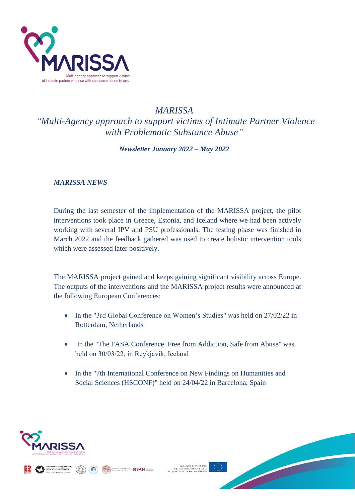

## *MARISSA*

*"Multi-Agency approach to support victims of Intimate Partner Violence with Problematic Substance Abuse"*

*Newsletter January 2022 – May 2022*

## *MARISSA NEWS*

During the last semester of the implementation of the MARISSA project, the pilot interventions took place in Greece, Estonia, and Iceland where we had been actively working with several IPV and PSU professionals. The testing phase was finished in March 2022 and the feedback gathered was used to create holistic intervention tools which were assessed later positively.

The MARISSA project gained and keeps gaining significant visibility across Europe. The outputs of the interventions and the MARISSA project results were announced at the following European Conferences:

- In the "3rd Global Conference on Women's Studies" was held on 27/02/22 in Rotterdam, Netherlands
- In the "The FASA Conference. Free from Addiction, Safe from Abuse" was held on 30/03/22, in Reykjavík, Iceland
- In the "7th International Conference on New Findings on Humanities and Social Sciences (HSCONF)" held on 24/04/22 in Barcelona, Spain



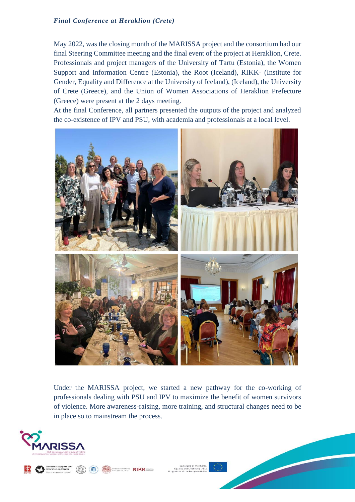## *Final Conference at Heraklion (Crete)*

May 2022, was the closing month of the MARISSA project and the consortium had our final Steering Committee meeting and the final event of the project at Heraklion, Crete. Professionals and project managers of the University of Tartu (Estonia), the Women Support and Information Centre (Estonia), the Root (Iceland), RIKK- (Institute for Gender, Equality and Difference at the University of Iceland), (Iceland), the University of Crete (Greece), and the Union of Women Associations of Heraklion Prefecture (Greece) were present at the 2 days meeting.

At the final Conference, all partners presented the outputs of the project and analyzed the co-existence of IPV and PSU, with academia and professionals at a local level.



Under the MARISSA project, we started a new pathway for the co-working of professionals dealing with PSU and IPV to maximize the benefit of women survivors of violence. More awareness-raising, more training, and structural changes need to be in place so to mainstream the process.





 $\text{RIKK}$